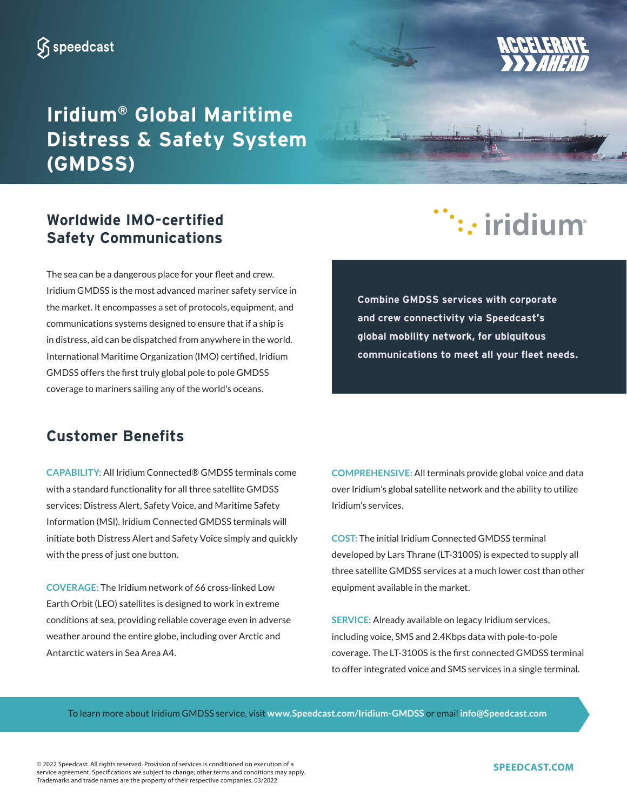## **Iridium® Global Maritime Distress & Safety System (GMDSS)**



# :: iridium

The sea can be a dangerous place for your fleet and crew. Iridium GMDSS is the most advanced mariner safety service in the market. It encompasses a set of protocols, equipment, and communications systems designed to ensure that if a ship is in distress, aid can be dispatched from anywhere in the world. International Maritime Organization (IMO) certified, Iridium GMDSS offers the first truly global pole to pole GMDSS coverage to mariners sailing any of the world's oceans.

**Worldwide IMO-certified Safety Communications**

> **Combine GMDSS services with corporate and crew connectivity via Speedcast's global mobility network, for ubiquitous communications to meet all your fleet needs.**

### **Customer Benefits**

**CAPABILITY:** All Iridium Connected® GMDSS terminals come with a standard functionality for all three satellite GMDSS services: Distress Alert, Safety Voice, and Maritime Safety Information (MSI). Iridium Connected GMDSS terminals will initiate both Distress Alert and Safety Voice simply and quickly with the press of just one button.

**COVERAGE:** The Iridium network of 66 cross-linked Low Earth Orbit (LEO) satellites is designed to work in extreme conditions at sea, providing reliable coverage even in adverse weather around the entire globe, including over Arctic and Antarctic waters in Sea Area A4.

**COMPREHENSIVE:** All terminals provide global voice and data over Iridium's global satellite network and the ability to utilize Iridium's services.

**COST:** The initial Iridium Connected GMDSS terminal developed by Lars Thrane (LT-3100S) is expected to supply all three satellite GMDSS services at a much lower cost than other equipment available in the market.

**SERVICE:** Already available on legacy Iridium services, including voice, SMS and 2.4Kbps data with pole-to-pole coverage. The LT-3100S is the first connected GMDSS terminal to offer integrated voice and SMS services in a single terminal.

To learn more about Iridium GMDSS service, visit **www.Speedcast.com/Iridium-GMDSS** or email **info@Speedcast.com**

© 2022 Speedcast. All rights reserved. Provision of services is conditioned on execution of a service agreement. Specifications are subject to change; other terms and conditions may apply. Trademarks and trade names are the property of their respective companies. 03/2022